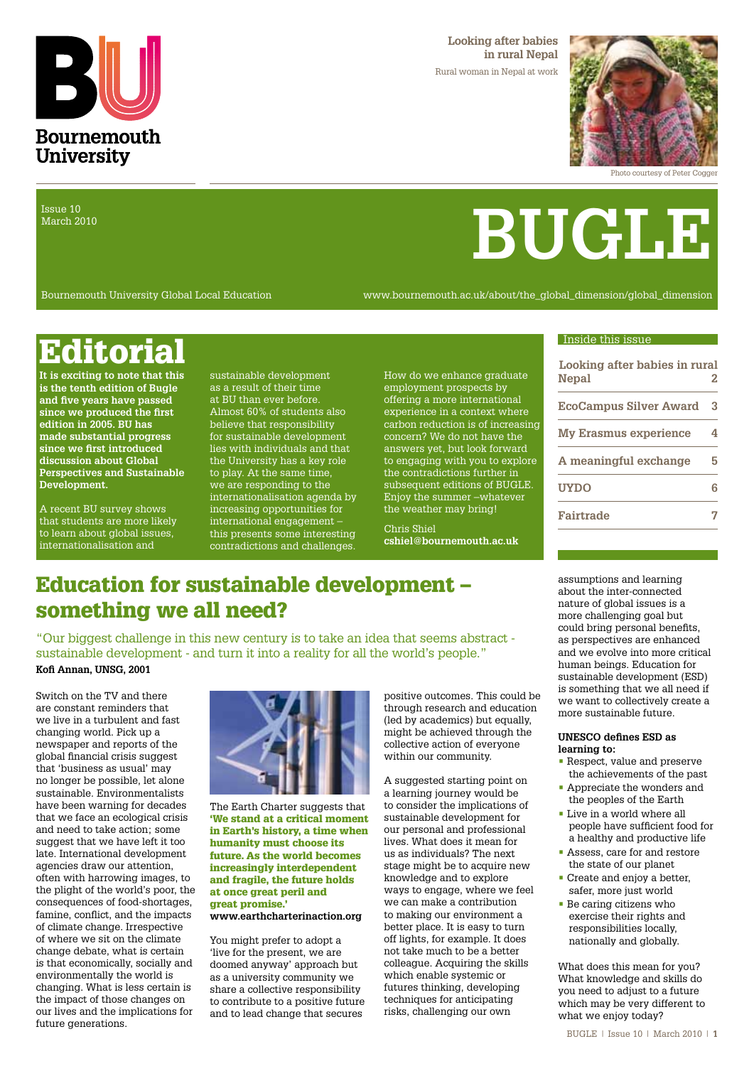

**Looking after babies in rural Nepal** Rural woman in Nepal at work



**BUGLE**

Photo courtesy of Peter Cogger

Issue 10 March 2010

Bournemouth University Global Local Education www.bournemouth.ac.uk/about/the\_global\_dimension/global\_dimension

## **Editorial** Editorial Editorial Editorial Editorial Editorial Editorial Editorial Editorial Editorial Editorial Editorial Editorial Editorial Editorial Editorial Editorial Editorial Editorial Editorial Editorial Editorial

**It is exciting to note that this is the tenth edition of Bugle and five years have passed since we produced the first edition in 2005. BU has made substantial progress since we first introduced discussion about Global Perspectives and Sustainable Development.** 

A recent BU survey shows that students are more likely to learn about global issues, internationalisation and

sustainable development as a result of their time at BU than ever before. Almost 60% of students also believe that responsibility for sustainable development lies with individuals and that the University has a key role to play. At the same time, we are responding to the internationalisation agenda by increasing opportunities for international engagement – this presents some interesting contradictions and challenges.

How do we enhance graduate employment prospects by offering a more international experience in a context where carbon reduction is of increasing concern? We do not have the answers yet, but look forward to engaging with you to explore the contradictions further in subsequent editions of BUGLE. Enjoy the summer –whatever the weather may bring!

Chris Shiel **cshiel@bournemouth.ac.uk**

#### assumptions and learning about the inter-connected nature of global issues is a more challenging goal but could bring personal benefits, as perspectives are enhanced and we evolve into more critical human beings. Education for sustainable development (ESD) is something that we all need if we want to collectively create a

**Looking after babies in rural Nepal 2**

**EcoCampus Silver Award 3**

**My Erasmus experience 4**

**A meaningful exchange 5 UYDO 6**

**Fairtrade 7**

**UNESCO defines ESD as learning to:**

more sustainable future.

- Respect, value and preserve the achievements of the past
- Appreciate the wonders and the peoples of the Earth
- Live in a world where all people have sufficient food for a healthy and productive life
- Assess, care for and restore the state of our planet
- Create and enjoy a better, safer, more just world
- Be caring citizens who exercise their rights and responsibilities locally, nationally and globally.

What does this mean for you? What knowledge and skills do you need to adjust to a future which may be very different to what we enjoy today?

### Education for sustainable development – something we all need?

"Our biggest challenge in this new century is to take an idea that seems abstract sustainable development - and turn it into a reality for all the world's people." **Kofi Annan, UNSG, 2001**

Switch on the TV and there are constant reminders that we live in a turbulent and fast changing world. Pick up a newspaper and reports of the global financial crisis suggest that 'business as usual' may no longer be possible, let alone sustainable. Environmentalists have been warning for decades that we face an ecological crisis and need to take action; some suggest that we have left it too late. International development agencies draw our attention, often with harrowing images, to the plight of the world's poor, the consequences of food-shortages, famine, conflict, and the impacts of climate change. Irrespective of where we sit on the climate change debate, what is certain is that economically, socially and environmentally the world is changing. What is less certain is the impact of those changes on our lives and the implications for future generations.



The Earth Charter suggests that 'We stand at a critical moment in Earth's history, a time when humanity must choose its future. As the world becomes increasingly interdependent and fragile, the future holds at once great peril and great promise.' **www.earthcharterinaction.org**

You might prefer to adopt a 'live for the present, we are doomed anyway' approach but as a university community we share a collective responsibility to contribute to a positive future and to lead change that secures

positive outcomes. This could be through research and education (led by academics) but equally, might be achieved through the collective action of everyone within our community.

A suggested starting point on a learning journey would be to consider the implications of sustainable development for our personal and professional lives. What does it mean for us as individuals? The next stage might be to acquire new knowledge and to explore ways to engage, where we feel we can make a contribution to making our environment a better place. It is easy to turn off lights, for example. It does not take much to be a better colleague. Acquiring the skills which enable systemic or futures thinking, developing techniques for anticipating risks, challenging our own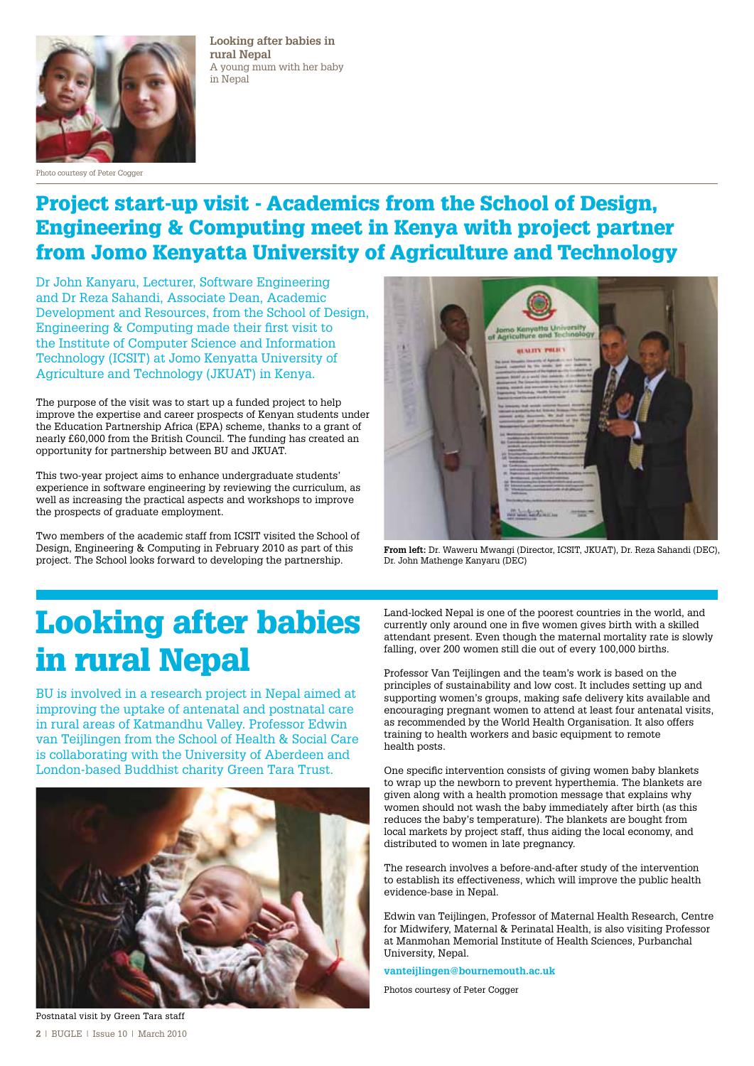

Photo courtesy of Peter Cogger

**Looking after babies in rural Nepal** A young mum with her baby in Nepal

### Project start-up visit - Academics from the School of Design, Engineering & Computing meet in Kenya with project partner from Jomo Kenyatta University of Agriculture and Technology

Dr John Kanyaru, Lecturer, Software Engineering and Dr Reza Sahandi, Associate Dean, Academic Development and Resources, from the School of Design, Engineering & Computing made their first visit to the Institute of Computer Science and Information Technology (ICSIT) at Jomo Kenyatta University of Agriculture and Technology (JKUAT) in Kenya.

The purpose of the visit was to start up a funded project to help improve the expertise and career prospects of Kenyan students under the Education Partnership Africa (EPA) scheme, thanks to a grant of nearly £60,000 from the British Council. The funding has created an opportunity for partnership between BU and JKUAT.

This two-year project aims to enhance undergraduate students' experience in software engineering by reviewing the curriculum, as well as increasing the practical aspects and workshops to improve the prospects of graduate employment.

Two members of the academic staff from ICSIT visited the School of Design, Engineering & Computing in February 2010 as part of this project. The School looks forward to developing the partnership.



**From left:** Dr. Waweru Mwangi (Director, ICSIT, JKUAT), Dr. Reza Sahandi (DEC), Dr. John Mathenge Kanyaru (DEC)

## Looking after babies in rural Nepal

BU is involved in a research project in Nepal aimed at improving the uptake of antenatal and postnatal care in rural areas of Katmandhu Valley. Professor Edwin van Teijlingen from the School of Health & Social Care is collaborating with the University of Aberdeen and London-based Buddhist charity Green Tara Trust.



Land-locked Nepal is one of the poorest countries in the world, and currently only around one in five women gives birth with a skilled attendant present. Even though the maternal mortality rate is slowly falling, over 200 women still die out of every 100,000 births.

Professor Van Teijlingen and the team's work is based on the principles of sustainability and low cost. It includes setting up and supporting women's groups, making safe delivery kits available and encouraging pregnant women to attend at least four antenatal visits, as recommended by the World Health Organisation. It also offers training to health workers and basic equipment to remote health posts.

One specific intervention consists of giving women baby blankets to wrap up the newborn to prevent hyperthemia. The blankets are given along with a health promotion message that explains why women should not wash the baby immediately after birth (as this reduces the baby's temperature). The blankets are bought from local markets by project staff, thus aiding the local economy, and distributed to women in late pregnancy.

The research involves a before-and-after study of the intervention to establish its effectiveness, which will improve the public health evidence-base in Nepal.

Edwin van Teijlingen, Professor of Maternal Health Research, Centre for Midwifery, Maternal & Perinatal Health, is also visiting Professor at Manmohan Memorial Institute of Health Sciences, Purbanchal University, Nepal.

**vanteijlingen@bournemouth.ac.uk**

Photos courtesy of Peter Cogger

Postnatal visit by Green Tara staff **2** | BUGLE | Issue 10 | March 2010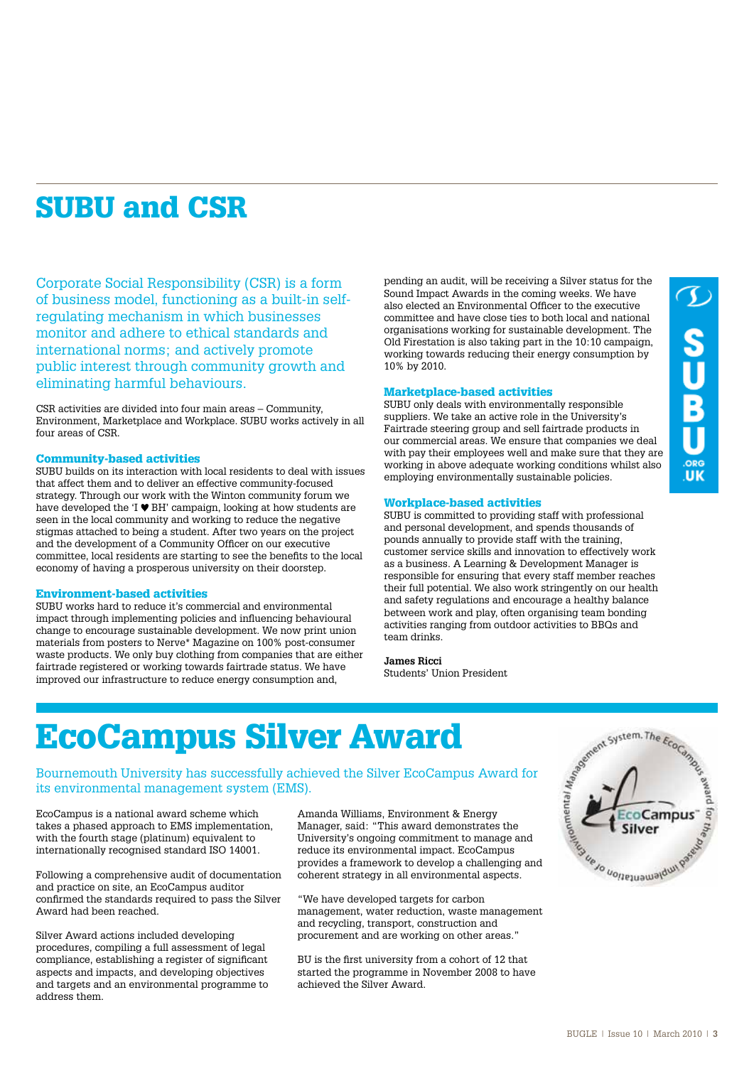## SUBU and CSR

Corporate Social Responsibility (CSR) is a form of business model, functioning as a built-in selfregulating mechanism in which businesses monitor and adhere to ethical standards and international norms; and actively promote public interest through community growth and eliminating harmful behaviours.

CSR activities are divided into four main areas – Community, Environment, Marketplace and Workplace. SUBU works actively in all four areas of CSR.

#### Community-based activities

SUBU builds on its interaction with local residents to deal with issues that affect them and to deliver an effective community-focused strategy. Through our work with the Winton community forum we have developed the 'I  $\Psi$  BH' campaign, looking at how students are seen in the local community and working to reduce the negative stigmas attached to being a student. After two years on the project and the development of a Community Officer on our executive committee, local residents are starting to see the benefits to the local economy of having a prosperous university on their doorstep.

#### Environment-based activities

SUBU works hard to reduce it's commercial and environmental impact through implementing policies and influencing behavioural change to encourage sustainable development. We now print union materials from posters to Nerve\* Magazine on 100% post-consumer waste products. We only buy clothing from companies that are either fairtrade registered or working towards fairtrade status. We have improved our infrastructure to reduce energy consumption and,

pending an audit, will be receiving a Silver status for the Sound Impact Awards in the coming weeks. We have also elected an Environmental Officer to the executive committee and have close ties to both local and national organisations working for sustainable development. The Old Firestation is also taking part in the 10:10 campaign, working towards reducing their energy consumption by 10% by 2010.

#### Marketplace-based activities

SUBU only deals with environmentally responsible suppliers. We take an active role in the University's Fairtrade steering group and sell fairtrade products in our commercial areas. We ensure that companies we deal with pay their employees well and make sure that they are working in above adequate working conditions whilst also employing environmentally sustainable policies.

#### Workplace-based activities

SUBU is committed to providing staff with professional and personal development, and spends thousands of pounds annually to provide staff with the training, customer service skills and innovation to effectively work as a business. A Learning & Development Manager is responsible for ensuring that every staff member reaches their full potential. We also work stringently on our health and safety regulations and encourage a healthy balance between work and play, often organising team bonding activities ranging from outdoor activities to BBQs and team drinks.

### **James Ricci**

Students' Union President

## EcoCampus Silver Award

Bournemouth University has successfully achieved the Silver EcoCampus Award for its environmental management system (EMS).

EcoCampus is a national award scheme which takes a phased approach to EMS implementation, with the fourth stage (platinum) equivalent to internationally recognised standard ISO 14001.

Following a comprehensive audit of documentation and practice on site, an EcoCampus auditor confirmed the standards required to pass the Silver Award had been reached.

Silver Award actions included developing procedures, compiling a full assessment of legal compliance, establishing a register of significant aspects and impacts, and developing objectives and targets and an environmental programme to address them.

Amanda Williams, Environment & Energy Manager, said: "This award demonstrates the University's ongoing commitment to manage and reduce its environmental impact. EcoCampus coherent strategy in all environmental aspects.

"We have developed targets for carbon management, water reduction, waste management and recycling, transport, construction and procurement and are working on other areas."

BU is the first university from a cohort of 12 that started the programme in November 2008 to have achieved the Silver Award.

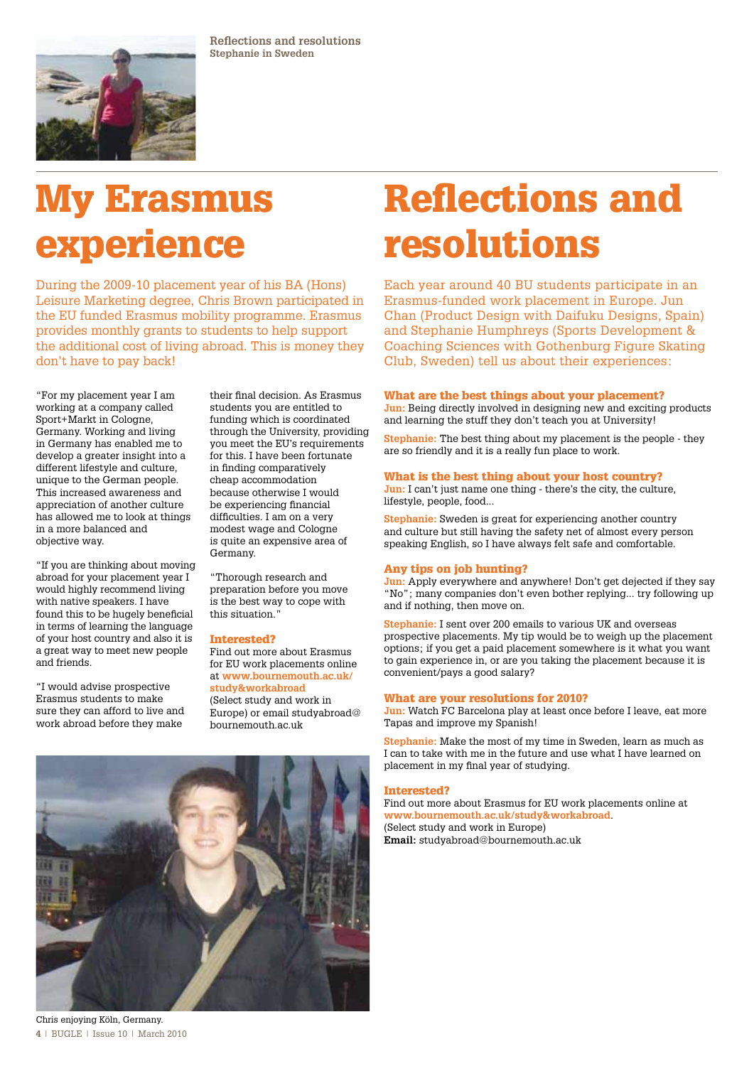

**Reflections and resolutions Stephanie in Sweden** 

# My Erasmus experience

During the 2009-10 placement year of his BA (Hons) Leisure Marketing degree, Chris Brown participated in the EU funded Erasmus mobility programme. Erasmus provides monthly grants to students to help support the additional cost of living abroad. This is money they don't have to pay back!

"For my placement year I am working at a company called Sport+Markt in Cologne, Germany. Working and living in Germany has enabled me to develop a greater insight into a different lifestyle and culture, unique to the German people. This increased awareness and appreciation of another culture has allowed me to look at things in a more balanced and objective way.

"If you are thinking about moving abroad for your placement year I would highly recommend living with native speakers. I have found this to be hugely beneficial in terms of learning the language of your host country and also it is a great way to meet new people and friends.

"I would advise prospective Erasmus students to make sure they can afford to live and work abroad before they make

their final decision. As Erasmus students you are entitled to funding which is coordinated through the University, providing you meet the EU's requirements for this. I have been fortunate in finding comparatively cheap accommodation because otherwise I would be experiencing financial difficulties. I am on a very modest wage and Cologne is quite an expensive area of Germany.

"Thorough research and preparation before you move is the best way to cope with this situation."

#### Interested?

Find out more about Erasmus for EU work placements online at **www.bournemouth.ac.uk/ study&workabroad** (Select study and work in Europe) or email studyabroad@ bournemouth.ac.uk



# resolutions Each year around 40 BU students participate in an

Erasmus-funded work placement in Europe. Jun Chan (Product Design with Daifuku Designs, Spain) and Stephanie Humphreys (Sports Development & Coaching Sciences with Gothenburg Figure Skating Club, Sweden) tell us about their experiences:

Reflections and

#### What are the best things about your placement?

Jun: Being directly involved in designing new and exciting products and learning the stuff they don't teach you at University!

**Stephanie:** The best thing about my placement is the people - they are so friendly and it is a really fun place to work.

#### What is the best thing about your host country?

**Jun:** I can't just name one thing - there's the city, the culture, lifestyle, people, food...

**Stephanie:** Sweden is great for experiencing another country and culture but still having the safety net of almost every person speaking English, so I have always felt safe and comfortable.

#### Any tips on job hunting?

**Jun:** Apply everywhere and anywhere! Don't get dejected if they say "No"; many companies don't even bother replying... try following up and if nothing, then move on.

**Stephanie:** I sent over 200 emails to various UK and overseas prospective placements. My tip would be to weigh up the placement options; if you get a paid placement somewhere is it what you want to gain experience in, or are you taking the placement because it is convenient/pays a good salary?

#### What are your resolutions for 2010?

**Jun:** Watch FC Barcelona play at least once before I leave, eat more Tapas and improve my Spanish!

**Stephanie:** Make the most of my time in Sweden, learn as much as I can to take with me in the future and use what I have learned on placement in my final year of studying.

#### Interested?

Find out more about Erasmus for EU work placements online at **www.bournemouth.ac.uk/study&workabroad**. (Select study and work in Europe) **Email:** studyabroad@bournemouth.ac.uk

**4** | BUGLE | Issue 10 | March 2010 Chris enjoying Köln, Germany.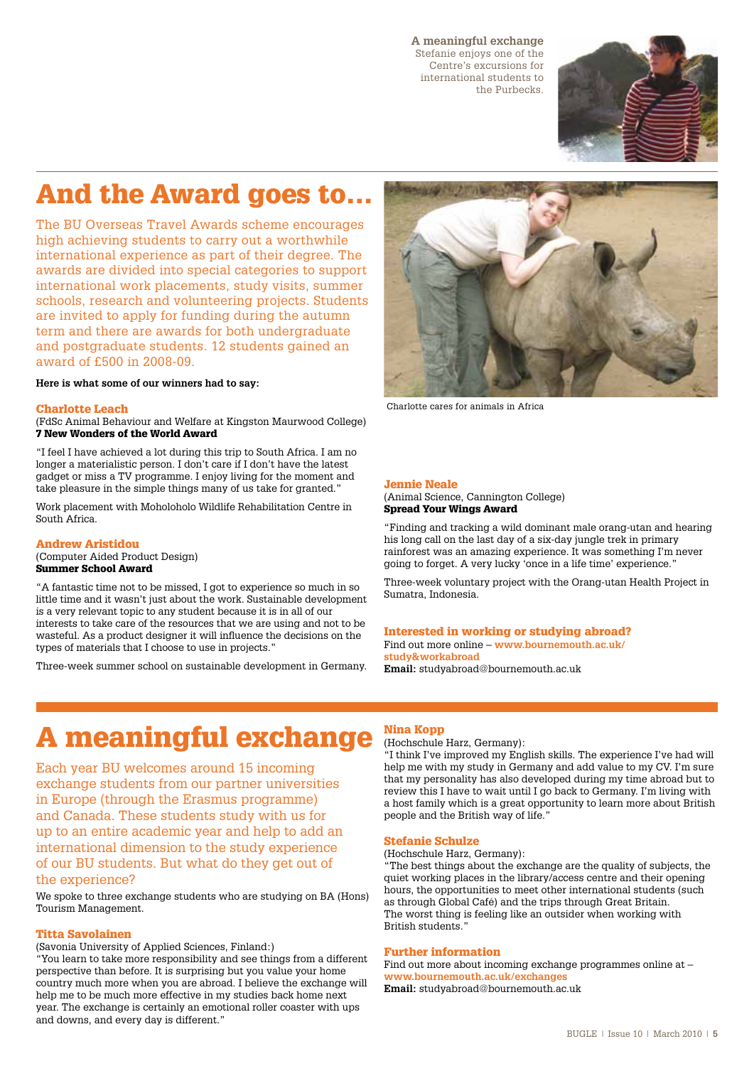#### **A meaningful exchange**

Stefanie enjoys one of the Centre's excursions for international students to the Purbecks.



## And the Award goes to…

The BU Overseas Travel Awards scheme encourages high achieving students to carry out a worthwhile international experience as part of their degree. The awards are divided into special categories to support international work placements, study visits, summer schools, research and volunteering projects. Students are invited to apply for funding during the autumn term and there are awards for both undergraduate and postgraduate students. 12 students gained an award of £500 in 2008-09.

#### **Here is what some of our winners had to say:**

#### Charlotte Leach

(FdSc Animal Behaviour and Welfare at Kingston Maurwood College) 7 New Wonders of the World Award

"I feel I have achieved a lot during this trip to South Africa. I am no longer a materialistic person. I don't care if I don't have the latest gadget or miss a TV programme. I enjoy living for the moment and take pleasure in the simple things many of us take for granted."

Work placement with Moholoholo Wildlife Rehabilitation Centre in South Africa.

#### Andrew Aristidou

(Computer Aided Product Design) Summer School Award

"A fantastic time not to be missed, I got to experience so much in so little time and it wasn't just about the work. Sustainable development is a very relevant topic to any student because it is in all of our interests to take care of the resources that we are using and not to be wasteful. As a product designer it will influence the decisions on the types of materials that I choose to use in projects."

Three-week summer school on sustainable development in Germany.



Charlotte cares for animals in Africa

#### Jennie Neale

(Animal Science, Cannington College) Spread Your Wings Award

"Finding and tracking a wild dominant male orang-utan and hearing his long call on the last day of a six-day jungle trek in primary rainforest was an amazing experience. It was something I'm never going to forget. A very lucky 'once in a life time' experience."

Three-week voluntary project with the Orang-utan Health Project in Sumatra, Indonesia.

#### Interested in working or studying abroad? Find out more online – **www.bournemouth.ac.uk/ study&workabroad**

**Email:** studyabroad@bournemouth.ac.uk

## A meaningful exchange Nina Kopp

Each year BU welcomes around 15 incoming exchange students from our partner universities in Europe (through the Erasmus programme) and Canada. These students study with us for up to an entire academic year and help to add an international dimension to the study experience of our BU students. But what do they get out of the experience?

We spoke to three exchange students who are studying on BA (Hons) Tourism Management.

#### Titta Savolainen

(Savonia University of Applied Sciences, Finland:)

"You learn to take more responsibility and see things from a different perspective than before. It is surprising but you value your home country much more when you are abroad. I believe the exchange will help me to be much more effective in my studies back home next year. The exchange is certainly an emotional roller coaster with ups and downs, and every day is different."

(Hochschule Harz, Germany):

"I think I've improved my English skills. The experience I've had will help me with my study in Germany and add value to my CV. I'm sure that my personality has also developed during my time abroad but to review this I have to wait until I go back to Germany. I'm living with a host family which is a great opportunity to learn more about British people and the British way of life."

#### Stefanie Schulze

#### (Hochschule Harz, Germany):

"The best things about the exchange are the quality of subjects, the quiet working places in the library/access centre and their opening hours, the opportunities to meet other international students (such as through Global Café) and the trips through Great Britain. The worst thing is feeling like an outsider when working with British students."

#### Further information

Find out more about incoming exchange programmes online at – **www.bournemouth.ac.uk/exchanges Email:** studyabroad@bournemouth.ac.uk

BUGLE | Issue 10 | March 2010 | **5**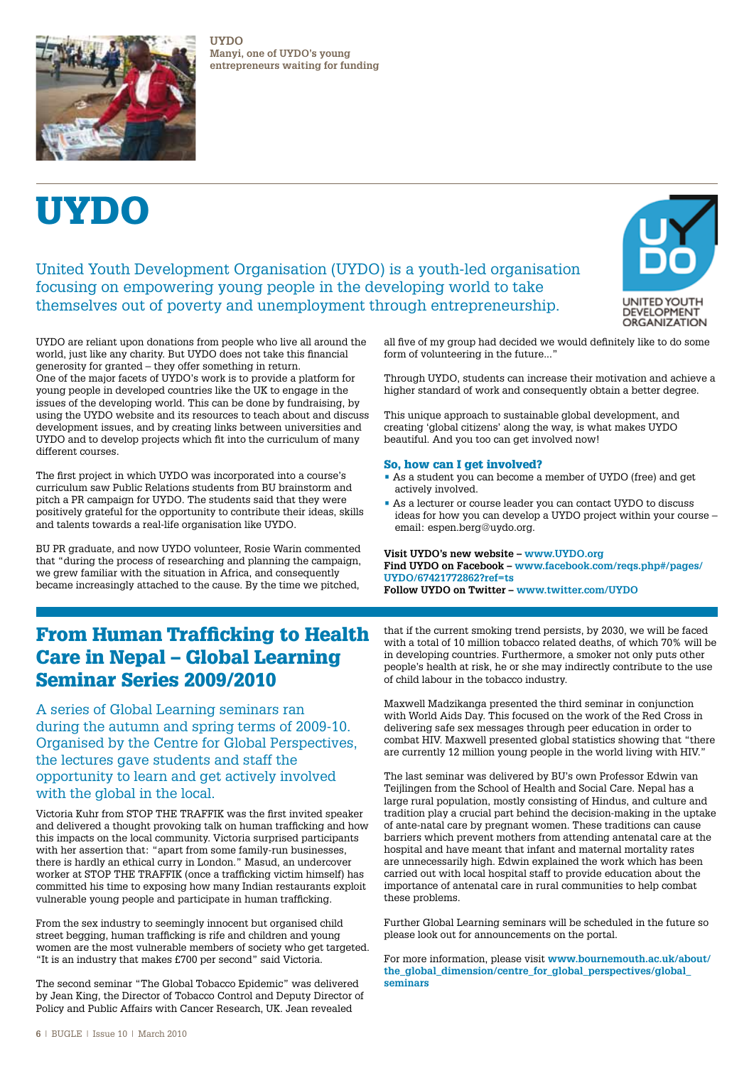

**UYDO Manyi, one of UYDO's young entrepreneurs waiting for funding**

# UYDO

### United Youth Development Organisation (UYDO) is a youth-led organisation focusing on empowering young people in the developing world to take themselves out of poverty and unemployment through entrepreneurship.



UYDO are reliant upon donations from people who live all around the world, just like any charity. But UYDO does not take this financial generosity for granted – they offer something in return. One of the major facets of UYDO's work is to provide a platform for young people in developed countries like the UK to engage in the issues of the developing world. This can be done by fundraising, by using the UYDO website and its resources to teach about and discuss development issues, and by creating links between universities and UYDO and to develop projects which fit into the curriculum of many different courses.

The first project in which UYDO was incorporated into a course's curriculum saw Public Relations students from BU brainstorm and pitch a PR campaign for UYDO. The students said that they were positively grateful for the opportunity to contribute their ideas, skills and talents towards a real-life organisation like UYDO.

BU PR graduate, and now UYDO volunteer, Rosie Warin commented that "during the process of researching and planning the campaign, we grew familiar with the situation in Africa, and consequently became increasingly attached to the cause. By the time we pitched,

form of volunteering in the future..."

Through UYDO, students can increase their motivation and achieve a higher standard of work and consequently obtain a better degree.

This unique approach to sustainable global development, and creating 'global citizens' along the way, is what makes UYDO beautiful. And you too can get involved now!

#### So, how can I get involved?

- As a student you can become a member of UYDO (free) and get actively involved.
- As a lecturer or course leader you can contact UYDO to discuss ideas for how you can develop a UYDO project within your course – email: espen.berg@uydo.org.

**Visit UYDO's new website – www.UYDO.org Find UYDO on Facebook – www.facebook.com/reqs.php#/pages/ UYDO/67421772862?ref=ts**

**Follow UYDO on Twitter – www.twitter.com/UYDO**

### From Human Trafficking to Health Care in Nepal – Global Learning Seminar Series 2009/2010

A series of Global Learning seminars ran during the autumn and spring terms of 2009-10. Organised by the Centre for Global Perspectives, the lectures gave students and staff the opportunity to learn and get actively involved with the global in the local.

Victoria Kuhr from STOP THE TRAFFIK was the first invited speaker and delivered a thought provoking talk on human trafficking and how this impacts on the local community. Victoria surprised participants with her assertion that: "apart from some family-run businesses, there is hardly an ethical curry in London." Masud, an undercover worker at STOP THE TRAFFIK (once a trafficking victim himself) has committed his time to exposing how many Indian restaurants exploit vulnerable young people and participate in human trafficking.

From the sex industry to seemingly innocent but organised child street begging, human trafficking is rife and children and young women are the most vulnerable members of society who get targeted. "It is an industry that makes £700 per second" said Victoria.

The second seminar "The Global Tobacco Epidemic" was delivered by Jean King, the Director of Tobacco Control and Deputy Director of Policy and Public Affairs with Cancer Research, UK. Jean revealed

that if the current smoking trend persists, by 2030, we will be faced with a total of 10 million tobacco related deaths, of which 70% will be in developing countries. Furthermore, a smoker not only puts other people's health at risk, he or she may indirectly contribute to the use of child labour in the tobacco industry.

Maxwell Madzikanga presented the third seminar in conjunction with World Aids Day. This focused on the work of the Red Cross in delivering safe sex messages through peer education in order to combat HIV. Maxwell presented global statistics showing that "there are currently 12 million young people in the world living with HIV."

The last seminar was delivered by BU's own Professor Edwin van Teijlingen from the School of Health and Social Care. Nepal has a large rural population, mostly consisting of Hindus, and culture and tradition play a crucial part behind the decision-making in the uptake of ante-natal care by pregnant women. These traditions can cause barriers which prevent mothers from attending antenatal care at the hospital and have meant that infant and maternal mortality rates are unnecessarily high. Edwin explained the work which has been carried out with local hospital staff to provide education about the importance of antenatal care in rural communities to help combat these problems.

Further Global Learning seminars will be scheduled in the future so please look out for announcements on the portal.

For more information, please visit **www.bournemouth.ac.uk/about/ the\_global\_dimension/centre\_for\_global\_perspectives/global\_ seminars**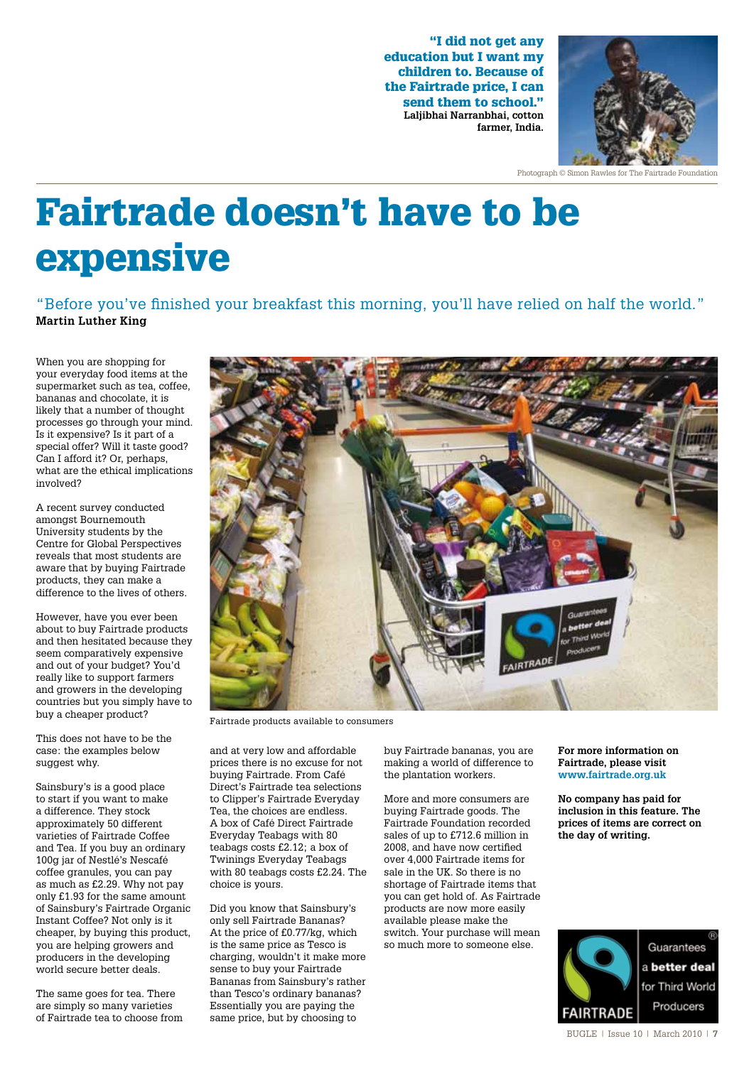"I did not get any education but I want my children to. Because of the Fairtrade price, I can send them to school." **Laljibhai Narranbhai, cotton farmer, India.**



Photograph © Simon Rawles for The Fairtrade Foundation

# Fairtrade doesn't have to be expensive

"Before you've finished your breakfast this morning, you'll have relied on half the world." **Martin Luther King**

When you are shopping for your everyday food items at the supermarket such as tea, coffee. bananas and chocolate, it is likely that a number of thought processes go through your mind. Is it expensive? Is it part of a special offer? Will it taste good? Can I afford it? Or, perhaps, what are the ethical implications involved?

A recent survey conducted amongst Bournemouth University students by the Centre for Global Perspectives reveals that most students are aware that by buying Fairtrade products, they can make a difference to the lives of others.

However, have you ever been about to buy Fairtrade products and then hesitated because they seem comparatively expensive and out of your budget? You'd really like to support farmers and growers in the developing countries but you simply have to buy a cheaper product?

This does not have to be the case: the examples below suggest why.

Sainsbury's is a good place to start if you want to make a difference. They stock approximately 50 different varieties of Fairtrade Coffee and Tea. If you buy an ordinary 100g jar of Nestlé's Nescafé coffee granules, you can pay as much as £2.29. Why not pay only £1.93 for the same amount of Sainsbury's Fairtrade Organic Instant Coffee? Not only is it cheaper, by buying this product, you are helping growers and producers in the developing world secure better deals.

The same goes for tea. There are simply so many varieties of Fairtrade tea to choose from



Fairtrade products available to consumers

and at very low and affordable prices there is no excuse for not buying Fairtrade. From Café Direct's Fairtrade tea selections to Clipper's Fairtrade Everyday Tea, the choices are endless. A box of Café Direct Fairtrade Everyday Teabags with 80 teabags costs £2.12; a box of Twinings Everyday Teabags with 80 teabags costs £2.24. The choice is yours.

Did you know that Sainsbury's only sell Fairtrade Bananas? At the price of £0.77/kg, which is the same price as Tesco is charging, wouldn't it make more sense to buy your Fairtrade Bananas from Sainsbury's rather than Tesco's ordinary bananas? Essentially you are paying the same price, but by choosing to

buy Fairtrade bananas, you are making a world of difference to the plantation workers.

More and more consumers are buying Fairtrade goods. The Fairtrade Foundation recorded sales of up to £712.6 million in 2008, and have now certified over 4,000 Fairtrade items for sale in the UK. So there is no shortage of Fairtrade items that you can get hold of. As Fairtrade products are now more easily available please make the switch. Your purchase will mean so much more to someone else.

#### **For more information on Fairtrade, please visit www.fairtrade.org.uk**

**No company has paid for inclusion in this feature. The prices of items are correct on the day of writing.**



Guarantees a better deal for Third World Producers